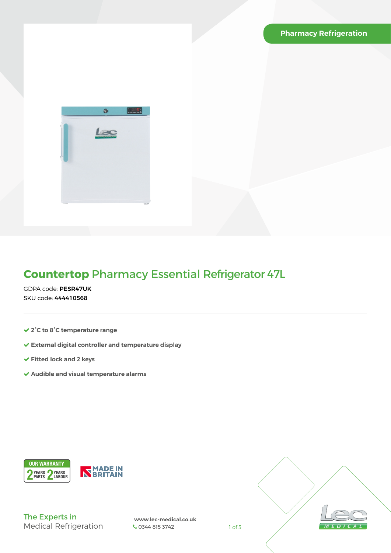

## **Countertop** Pharmacy Essential Refrigerator 47L

GDPA code: PESR47UK SKU code: 444410568

- **2°C to 8°C temperature range**
- **External digital controller and temperature display**
- **Fitted lock and 2 keys**
- **Audible and visual temperature alarms**



The Experts in Medical Refrigeration

 **www.lec-medical.co.uk**  0344 815 3742 1 of 3

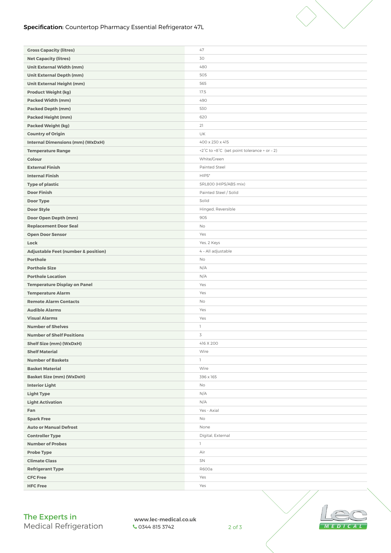## Specification: Countertop Pharmacy Essential Refrigerator 47L

| <b>Gross Capacity (litres)</b>                 | 47                                          |
|------------------------------------------------|---------------------------------------------|
| <b>Net Capacity (litres)</b>                   | 30                                          |
| <b>Unit External Width (mm)</b>                | 480                                         |
| <b>Unit External Depth (mm)</b>                | 505                                         |
| <b>Unit External Height (mm)</b>               | 565                                         |
| <b>Product Weight (kg)</b>                     | 17.5                                        |
| <b>Packed Width (mm)</b>                       | 490                                         |
| <b>Packed Depth (mm)</b>                       | 530                                         |
| <b>Packed Height (mm)</b>                      | 620                                         |
| <b>Packed Weight (kg)</b>                      | 21                                          |
| <b>Country of Origin</b>                       | UK                                          |
| <b>Internal Dimensions (mm) (WxDxH)</b>        | 400 x 230 x 415                             |
| <b>Temperature Range</b>                       | +2°C to +8°C (set point tolerance + or - 2) |
| Colour                                         | White/Green                                 |
| <b>External Finish</b>                         | Painted Steel                               |
| <b>Internal Finish</b>                         | HIPS*                                       |
| <b>Type of plastic</b>                         | SRL800 (HIPS/ABS mix)                       |
| <b>Door Finish</b>                             | Painted Steel / Solid                       |
| Door Type                                      | Solid                                       |
| Door Style                                     | Hinged, Reversible                          |
| Door Open Depth (mm)                           | 905                                         |
| <b>Replacement Door Seal</b>                   | No                                          |
| <b>Open Door Sensor</b>                        | Yes                                         |
| Lock                                           | Yes, 2 Keys                                 |
| <b>Adjustable Feet (number &amp; position)</b> | 4 - All adjustable                          |
| <b>Porthole</b>                                | No                                          |
| <b>Porthole Size</b>                           | N/A                                         |
| <b>Porthole Location</b>                       | N/A                                         |
| <b>Temperature Display on Panel</b>            | Yes                                         |
| <b>Temperature Alarm</b>                       | Yes                                         |
| <b>Remote Alarm Contacts</b>                   | No                                          |
| <b>Audible Alarms</b>                          | Yes                                         |
| <b>Visual Alarms</b>                           | Yes                                         |
| <b>Number of Shelves</b>                       | 1                                           |
| <b>Number of Shelf Positions</b>               | 3                                           |
| Shelf Size (mm) (WxDxH)                        | 416 X 200                                   |
| <b>Shelf Material</b>                          | Wire                                        |
| <b>Number of Baskets</b>                       | 1                                           |
| <b>Basket Material</b>                         | Wire                                        |
| <b>Basket Size (mm) (WxDxH)</b>                | 396 x 165                                   |
| <b>Interior Light</b>                          | No                                          |
| <b>Light Type</b>                              | N/A                                         |
| <b>Light Activation</b>                        | N/A                                         |
| Fan                                            | Yes - Axial                                 |
| <b>Spark Free</b>                              | No                                          |
| <b>Auto or Manual Defrost</b>                  | None                                        |
| <b>Controller Type</b>                         | Digital, External                           |
| <b>Number of Probes</b>                        | $\mathbb{I}$                                |
| <b>Probe Type</b>                              | Air                                         |
| <b>Climate Class</b>                           | SN<br>R600a                                 |
| <b>Refrigerant Type</b><br><b>CFC Free</b>     | Yes                                         |
|                                                | Yes                                         |
| <b>HFC Free</b>                                |                                             |

 **www.lec-medical.co.uk**  0344 815 3742 2 of 3